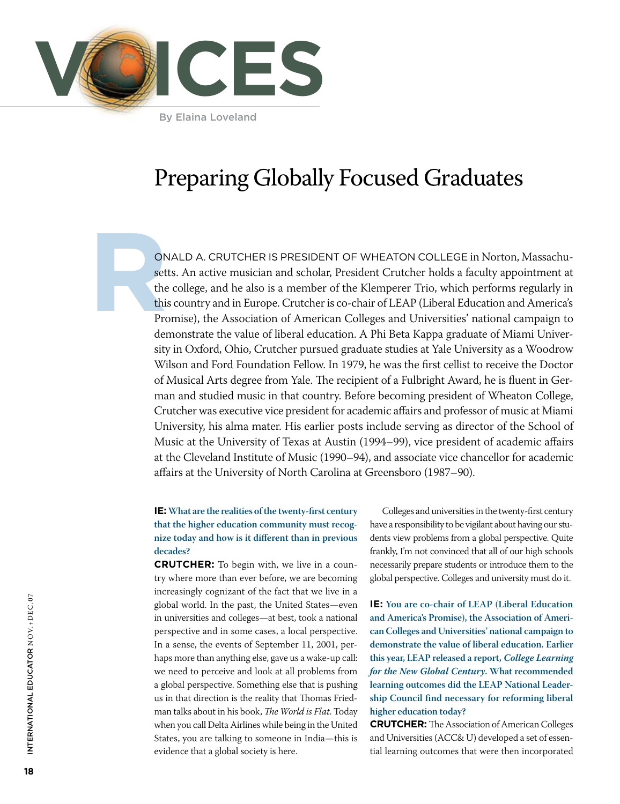

## Preparing Globally Focused Graduates

ONALD A<br>setts. An<br>the colleg<br>this count<br>Promise), onald A. Crutcher is president of Wheaton College in Norton, Massachusetts. An active musician and scholar, President Crutcher holds a faculty appointment at the college, and he also is a member of the Klemperer Trio, which performs regularly in this country and in Europe. Crutcher is co-chair of LEAP (Liberal Education and America's Promise), the Association of American Colleges and Universities' national campaign to demonstrate the value of liberal education. A Phi Beta Kappa graduate of Miami University in Oxford, Ohio, Crutcher pursued graduate studies at Yale University as a Woodrow Wilson and Ford Foundation Fellow. In 1979, he was the first cellist to receive the Doctor of Musical Arts degree from Yale. The recipient of a Fulbright Award, he is fluent in German and studied music in that country. Before becoming president of Wheaton College, Crutcher was executive vice president for academic affairs and professor of music at Miami University, his alma mater. His earlier posts include serving as director of the School of Music at the University of Texas at Austin (1994–99), vice president of academic affairs at the Cleveland Institute of Music (1990–94), and associate vice chancellor for academic affairs at the University of North Carolina at Greensboro (1987–90).

#### **IE: What are the realities of the twenty-first century that the higher education community must recognize today and how is it different than in previous decades?**

**CRUTCHER:** To begin with, we live in a country where more than ever before, we are becoming increasingly cognizant of the fact that we live in a global world. In the past, the United States—even in universities and colleges—at best, took a national perspective and in some cases, a local perspective. In a sense, the events of September 11, 2001, perhaps more than anything else, gave us a wake-up call: we need to perceive and look at all problems from a global perspective. Something else that is pushing us in that direction is the reality that Thomas Friedman talks about in his book, *The World is Flat*. Today when you call Delta Airlines while being in the United States, you are talking to someone in India—this is evidence that a global society is here.

Colleges and universities in the twenty-first century have a responsibility to be vigilant about having our students view problems from a global perspective. Quite frankly, I'm not convinced that all of our high schools necessarily prepare students or introduce them to the global perspective. Colleges and university must do it.

**IE: You are co-chair of LEAP (Liberal Education and America's Promise), the Association of American Colleges and Universities' national campaign to demonstrate the value of liberal education. Earlier this year, LEAP released a report,** *College Learning for the New Global Century***. What recommended learning outcomes did the LEAP National Leadership Council find necessary for reforming liberal higher education today?**

**Crutcher:** The Association of American Colleges and Universities (ACC& U) developed a set of essential learning outcomes that were then incorporated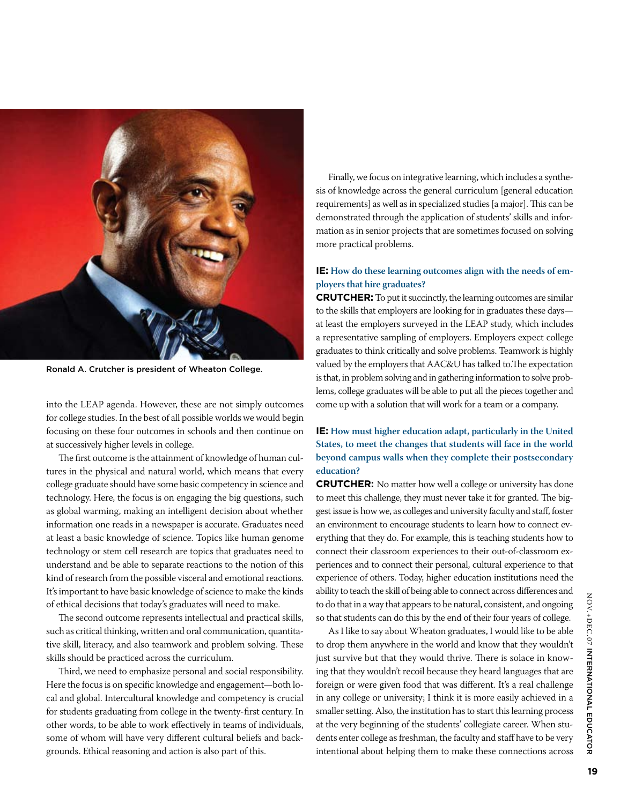

Ronald A. Crutcher is president of Wheaton College.

into the LEAP agenda. However, these are not simply outcomes for college studies. In the best of all possible worlds we would begin focusing on these four outcomes in schools and then continue on at successively higher levels in college.

The first outcome is the attainment of knowledge of human cultures in the physical and natural world, which means that every college graduate should have some basic competency in science and technology. Here, the focus is on engaging the big questions, such as global warming, making an intelligent decision about whether information one reads in a newspaper is accurate. Graduates need at least a basic knowledge of science. Topics like human genome technology or stem cell research are topics that graduates need to understand and be able to separate reactions to the notion of this kind of research from the possible visceral and emotional reactions. It's important to have basic knowledge of science to make the kinds of ethical decisions that today's graduates will need to make.

The second outcome represents intellectual and practical skills, such as critical thinking, written and oral communication, quantitative skill, literacy, and also teamwork and problem solving. These skills should be practiced across the curriculum.

Third, we need to emphasize personal and social responsibility. Here the focus is on specific knowledge and engagement—both local and global. Intercultural knowledge and competency is crucial for students graduating from college in the twenty-first century. In other words, to be able to work effectively in teams of individuals, some of whom will have very different cultural beliefs and backgrounds. Ethical reasoning and action is also part of this.

Finally, we focus on integrative learning, which includes a synthesis of knowledge across the general curriculum [general education requirements] as well as in specialized studies [a major]. This can be demonstrated through the application of students' skills and information as in senior projects that are sometimes focused on solving more practical problems.

#### **IE: How do these learning outcomes align with the needs of employers that hire graduates?**

**CRUTCHER:** To put it succinctly, the learning outcomes are similar to the skills that employers are looking for in graduates these days at least the employers surveyed in the LEAP study, which includes a representative sampling of employers. Employers expect college graduates to think critically and solve problems. Teamwork is highly valued by the employers that AAC&U has talked to.The expectation is that, in problem solving and in gathering information to solve problems, college graduates will be able to put all the pieces together and come up with a solution that will work for a team or a company.

#### **IE: How must higher education adapt, particularly in the United States, to meet the changes that students will face in the world beyond campus walls when they complete their postsecondary education?**

**CRUTCHER:** No matter how well a college or university has done to meet this challenge, they must never take it for granted. The biggest issue is how we, as colleges and university faculty and staff, foster an environment to encourage students to learn how to connect everything that they do. For example, this is teaching students how to connect their classroom experiences to their out-of-classroom experiences and to connect their personal, cultural experience to that experience of others. Today, higher education institutions need the ability to teach the skill of being able to connect across differences and to do that in a way that appears to be natural, consistent, and ongoing so that students can do this by the end of their four years of college.

As I like to say about Wheaton graduates, I would like to be able to drop them anywhere in the world and know that they wouldn't just survive but that they would thrive. There is solace in knowing that they wouldn't recoil because they heard languages that are foreign or were given food that was different. It's a real challenge in any college or university; I think it is more easily achieved in a smaller setting. Also, the institution has to start this learning process at the very beginning of the students' collegiate career. When students enter college as freshman, the faculty and staff have to be very intentional about helping them to make these connections across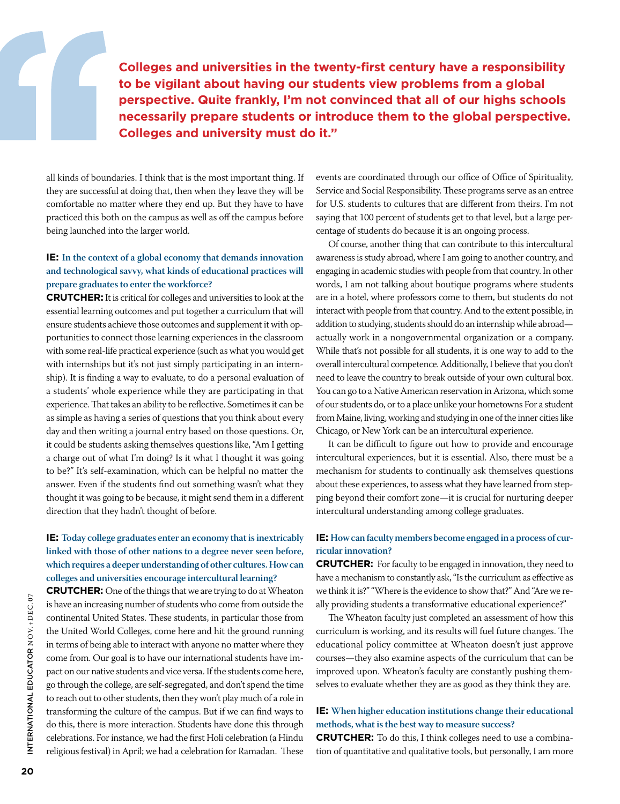**Colleges and universities in the twenty-first century have a responsibility to be vigilant about having our students view problems from a global perspective. Quite frankly, I'm not convinced that all of our highs schools necessarily prepare students or introduce them to the global perspective. Colleges and university must do it."** 

all kinds of boundaries. I think that is the most important thing. If they are successful at doing that, then when they leave they will be comfortable no matter where they end up. But they have to have practiced this both on the campus as well as off the campus before being launched into the larger world.

#### **IE: In the context of a global economy that demands innovation and technological savvy, what kinds of educational practices will prepare graduates to enter the workforce?**

**Crutcher:** It is critical for colleges and universities to look at the essential learning outcomes and put together a curriculum that will ensure students achieve those outcomes and supplement it with opportunities to connect those learning experiences in the classroom with some real-life practical experience (such as what you would get with internships but it's not just simply participating in an internship). It is finding a way to evaluate, to do a personal evaluation of a students' whole experience while they are participating in that experience. That takes an ability to be reflective. Sometimes it can be as simple as having a series of questions that you think about every day and then writing a journal entry based on those questions. Or, it could be students asking themselves questions like, "Am I getting a charge out of what I'm doing? Is it what I thought it was going to be?" It's self-examination, which can be helpful no matter the answer. Even if the students find out something wasn't what they thought it was going to be because, it might send them in a different direction that they hadn't thought of before.

#### **IE: Today college graduates enter an economy that is inextricably linked with those of other nations to a degree never seen before, which requires a deeper understanding of other cultures. How can colleges and universities encourage intercultural learning?**

**CRUTCHER:** One of the things that we are trying to do at Wheaton is have an increasing number of students who come from outside the continental United States. These students, in particular those from the United World Colleges, come here and hit the ground running in terms of being able to interact with anyone no matter where they come from. Our goal is to have our international students have impact on our native students and vice versa. If the students come here, go through the college, are self-segregated, and don't spend the time to reach out to other students, then they won't play much of a role in transforming the culture of the campus. But if we can find ways to do this, there is more interaction. Students have done this through celebrations. For instance, we had the first Holi celebration (a Hindu religious festival) in April; we had a celebration for Ramadan. These

events are coordinated through our office of Office of Spirituality, Service and Social Responsibility. These programs serve as an entree for U.S. students to cultures that are different from theirs. I'm not saying that 100 percent of students get to that level, but a large percentage of students do because it is an ongoing process.

Of course, another thing that can contribute to this intercultural awareness is study abroad, where I am going to another country, and engaging in academic studies with people from that country. In other words, I am not talking about boutique programs where students are in a hotel, where professors come to them, but students do not interact with people from that country. And to the extent possible, in addition to studying, students should do an internship while abroad actually work in a nongovernmental organization or a company. While that's not possible for all students, it is one way to add to the overall intercultural competence. Additionally, I believe that you don't need to leave the country to break outside of your own cultural box. You can go to a Native American reservation in Arizona, which some of our students do, or to a place unlike your hometowns For a student from Maine, living, working and studying in one of the inner cities like Chicago, or New York can be an intercultural experience.

It can be difficult to figure out how to provide and encourage intercultural experiences, but it is essential. Also, there must be a mechanism for students to continually ask themselves questions about these experiences, to assess what they have learned from stepping beyond their comfort zone—it is crucial for nurturing deeper intercultural understanding among college graduates.

#### **IE: How can faculty members become engaged in a process of curricular innovation?**

**CRUTCHER:** For faculty to be engaged in innovation, they need to have a mechanism to constantly ask, "Is the curriculum as effective as we think it is?" "Where is the evidence to show that?" And "Are we really providing students a transformative educational experience?"

The Wheaton faculty just completed an assessment of how this curriculum is working, and its results will fuel future changes. The educational policy committee at Wheaton doesn't just approve courses—they also examine aspects of the curriculum that can be improved upon. Wheaton's faculty are constantly pushing themselves to evaluate whether they are as good as they think they are.

#### **IE: When higher education institutions change their educational methods, what is the best way to measure success?**

**CRUTCHER:** To do this, I think colleges need to use a combination of quantitative and qualitative tools, but personally, I am more